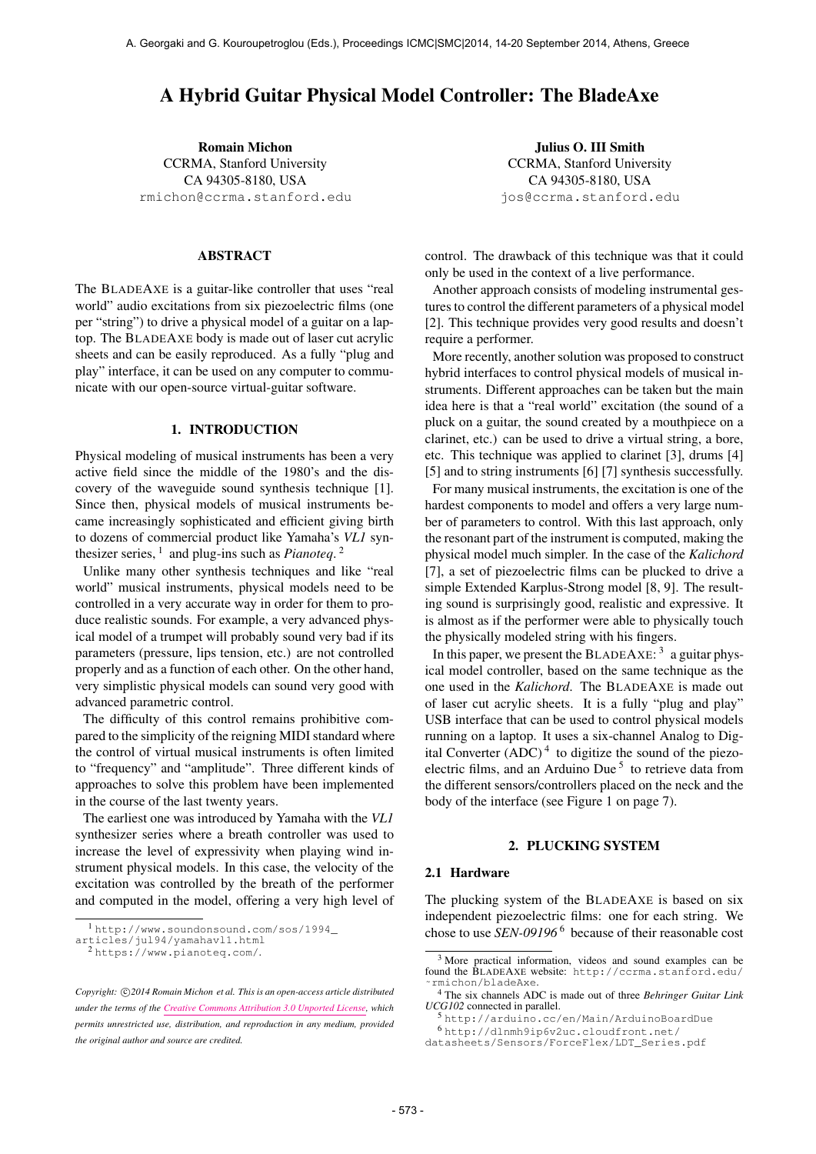# A Hybrid Guitar Physical Model Controller: The BladeAxe

Romain Michon CCRMA, Stanford University CA 94305-8180, USA [rmichon@ccrma.stanford.edu](mailto:rmichon@ccrma.stanford.edu)

#### ABSTRACT

The BLADEAXE is a guitar-like controller that uses "real world" audio excitations from six piezoelectric films (one per "string") to drive a physical model of a guitar on a laptop. The BLADEAXE body is made out of laser cut acrylic sheets and can be easily reproduced. As a fully "plug and play" interface, it can be used on any computer to communicate with our open-source virtual-guitar software.

### 1. INTRODUCTION

Physical modeling of musical instruments has been a very active field since the middle of the 1980's and the discovery of the waveguide sound synthesis technique [1]. Since then, physical models of musical instruments became increasingly sophisticated and efficient giving birth to dozens of commercial product like Yamaha's *VL1* synthesizer series,  $\frac{1}{2}$  and plug-ins such as *Pianoteq*.<sup>2</sup>

Unlike many other synthesis techniques and like "real world" musical instruments, physical models need to be controlled in a very accurate way in order for them to produce realistic sounds. For example, a very advanced physical model of a trumpet will probably sound very bad if its parameters (pressure, lips tension, etc.) are not controlled properly and as a function of each other. On the other hand, very simplistic physical models can sound very good with advanced parametric control.

The difficulty of this control remains prohibitive compared to the simplicity of the reigning MIDI standard where the control of virtual musical instruments is often limited to "frequency" and "amplitude". Three different kinds of approaches to solve this problem have been implemented in the course of the last twenty years.

The earliest one was introduced by Yamaha with the *VL1* synthesizer series where a breath controller was used to increase the level of expressivity when playing wind instrument physical models. In this case, the velocity of the excitation was controlled by the breath of the performer and computed in the model, offering a very high level of

Julius O. III Smith CCRMA, Stanford University CA 94305-8180, USA [jos@ccrma.stanford.edu](mailto:jos@ccrma.stanford.edu)

control. The drawback of this technique was that it could only be used in the context of a live performance.

Another approach consists of modeling instrumental gestures to control the different parameters of a physical model [2]. This technique provides very good results and doesn't require a performer.

More recently, another solution was proposed to construct hybrid interfaces to control physical models of musical instruments. Different approaches can be taken but the main idea here is that a "real world" excitation (the sound of a pluck on a guitar, the sound created by a mouthpiece on a clarinet, etc.) can be used to drive a virtual string, a bore, etc. This technique was applied to clarinet [3], drums [4] [5] and to string instruments [6] [7] synthesis successfully.

For many musical instruments, the excitation is one of the hardest components to model and offers a very large number of parameters to control. With this last approach, only the resonant part of the instrument is computed, making the physical model much simpler. In the case of the *Kalichord* [7], a set of piezoelectric films can be plucked to drive a simple Extended Karplus-Strong model [8, 9]. The resulting sound is surprisingly good, realistic and expressive. It is almost as if the performer were able to physically touch the physically modeled string with his fingers.

In this paper, we present the BLADEAXE:  $3$  a guitar physical model controller, based on the same technique as the one used in the *Kalichord*. The BLADEAXE is made out of laser cut acrylic sheets. It is a fully "plug and play" USB interface that can be used to control physical models running on a laptop. It uses a six-channel Analog to Digital Converter  $(ADC)^4$  to digitize the sound of the piezoelectric films, and an Arduino Due<sup>5</sup> to retrieve data from the different sensors/controllers placed on the neck and the body of the interface (see Figure 1 on page 7).

#### 2. PLUCKING SYSTEM

#### 2.1 Hardware

The plucking system of the BLADEAXE is based on six independent piezoelectric films: one for each string. We chose to use *SEN-09196* 6 because of their reasonable cost

<sup>1</sup> [http://www.soundonsound.com/sos/1994\\_](http://www.soundonsound.com/sos/1994_articles/jul94/yamahavl1.html)

[articles/jul94/yamahavl1.html](http://www.soundonsound.com/sos/1994_articles/jul94/yamahavl1.html)

<sup>2</sup> <https://www.pianoteq.com/>.

Copyright:  $\bigcirc$ 2014 Romain Michon et al. This is an open-access article distributed *under the terms of the [Creative Commons Attribution 3.0 Unported License,](http://creativecommons.org/licenses/by/3.0/) which permits unrestricted use, distribution, and reproduction in any medium, provided the original author and source are credited.*

<sup>3</sup> More practical information, videos and sound examples can be found the BLADEAXE website: [http://ccrma.stanford.edu/](http://ccrma.stanford.edu/~rmichon/bladeAxe) [˜rmichon/bladeAxe](http://ccrma.stanford.edu/~rmichon/bladeAxe).

<sup>4</sup> The six channels ADC is made out of three *Behringer Guitar Link UCG102* connected in parallel.

<sup>5</sup> <http://arduino.cc/en/Main/ArduinoBoardDue> <sup>6</sup> [http://dlnmh9ip6v2uc.cloudfront.net/](http://dlnmh9ip6v2uc.cloudfront.net/datasheets/Sensors/ForceFlex/LDT_Series.pdf)

[datasheets/Sensors/ForceFlex/LDT\\_Series.pdf](http://dlnmh9ip6v2uc.cloudfront.net/datasheets/Sensors/ForceFlex/LDT_Series.pdf)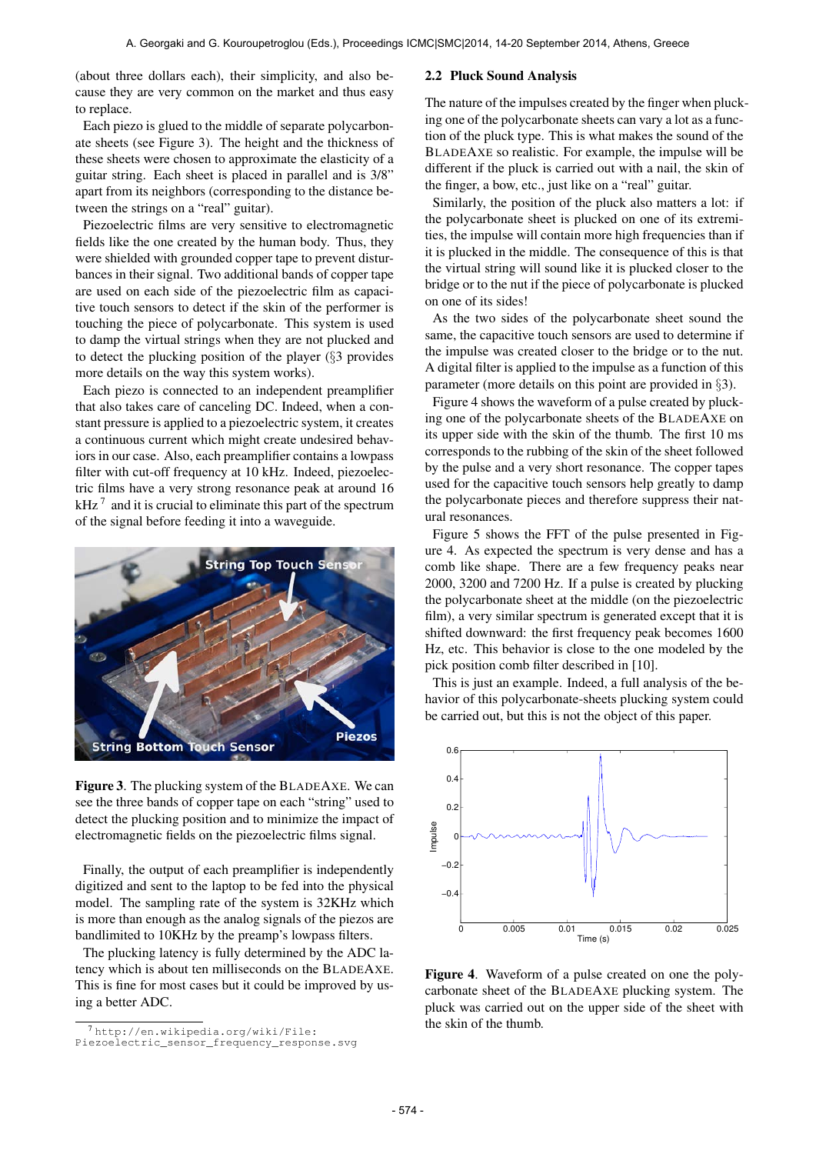(about three dollars each), their simplicity, and also because they are very common on the market and thus easy to replace.

Each piezo is glued to the middle of separate polycarbonate sheets (see Figure 3). The height and the thickness of these sheets were chosen to approximate the elasticity of a guitar string. Each sheet is placed in parallel and is 3/8" apart from its neighbors (corresponding to the distance between the strings on a "real" guitar).

Piezoelectric films are very sensitive to electromagnetic fields like the one created by the human body. Thus, they were shielded with grounded copper tape to prevent disturbances in their signal. Two additional bands of copper tape are used on each side of the piezoelectric film as capacitive touch sensors to detect if the skin of the performer is touching the piece of polycarbonate. This system is used to damp the virtual strings when they are not plucked and to detect the plucking position of the player (§3 provides more details on the way this system works).

Each piezo is connected to an independent preamplifier that also takes care of canceling DC. Indeed, when a constant pressure is applied to a piezoelectric system, it creates a continuous current which might create undesired behaviors in our case. Also, each preamplifier contains a lowpass filter with cut-off frequency at 10 kHz. Indeed, piezoelectric films have a very strong resonance peak at around 16 kHz<sup> $7$ </sup> and it is crucial to eliminate this part of the spectrum of the signal before feeding it into a waveguide.



Figure 3. The plucking system of the BLADEAXE. We can see the three bands of copper tape on each "string" used to detect the plucking position and to minimize the impact of electromagnetic fields on the piezoelectric films signal.

Finally, the output of each preamplifier is independently digitized and sent to the laptop to be fed into the physical model. The sampling rate of the system is 32KHz which is more than enough as the analog signals of the piezos are bandlimited to 10KHz by the preamp's lowpass filters.

The plucking latency is fully determined by the ADC latency which is about ten milliseconds on the BLADEAXE. This is fine for most cases but it could be improved by using a better ADC.

## 2.2 Pluck Sound Analysis

The nature of the impulses created by the finger when plucking one of the polycarbonate sheets can vary a lot as a function of the pluck type. This is what makes the sound of the BLADEAXE so realistic. For example, the impulse will be different if the pluck is carried out with a nail, the skin of the finger, a bow, etc., just like on a "real" guitar.

Similarly, the position of the pluck also matters a lot: if the polycarbonate sheet is plucked on one of its extremities, the impulse will contain more high frequencies than if it is plucked in the middle. The consequence of this is that the virtual string will sound like it is plucked closer to the bridge or to the nut if the piece of polycarbonate is plucked on one of its sides!

As the two sides of the polycarbonate sheet sound the same, the capacitive touch sensors are used to determine if the impulse was created closer to the bridge or to the nut. A digital filter is applied to the impulse as a function of this parameter (more details on this point are provided in §3).

Figure 4 shows the waveform of a pulse created by plucking one of the polycarbonate sheets of the BLADEAXE on its upper side with the skin of the thumb. The first 10 ms corresponds to the rubbing of the skin of the sheet followed by the pulse and a very short resonance. The copper tapes used for the capacitive touch sensors help greatly to damp the polycarbonate pieces and therefore suppress their natural resonances.

Figure 5 shows the FFT of the pulse presented in Figure 4. As expected the spectrum is very dense and has a comb like shape. There are a few frequency peaks near 2000, 3200 and 7200 Hz. If a pulse is created by plucking the polycarbonate sheet at the middle (on the piezoelectric film), a very similar spectrum is generated except that it is shifted downward: the first frequency peak becomes 1600 Hz, etc. This behavior is close to the one modeled by the pick position comb filter described in [10].

This is just an example. Indeed, a full analysis of the behavior of this polycarbonate-sheets plucking system could be carried out, but this is not the object of this paper.



Figure 4. Waveform of a pulse created on one the polycarbonate sheet of the BLADEAXE plucking system. The pluck was carried out on the upper side of the sheet with the skin of the thumb.

<sup>7</sup> [http://en.wikipedia.org/wiki/File:](http://en.wikipedia.org/wiki/File:Piezoelectric_sensor_frequency_response.svg)

[Piezoelectric\\_sensor\\_frequency\\_response.svg](http://en.wikipedia.org/wiki/File:Piezoelectric_sensor_frequency_response.svg)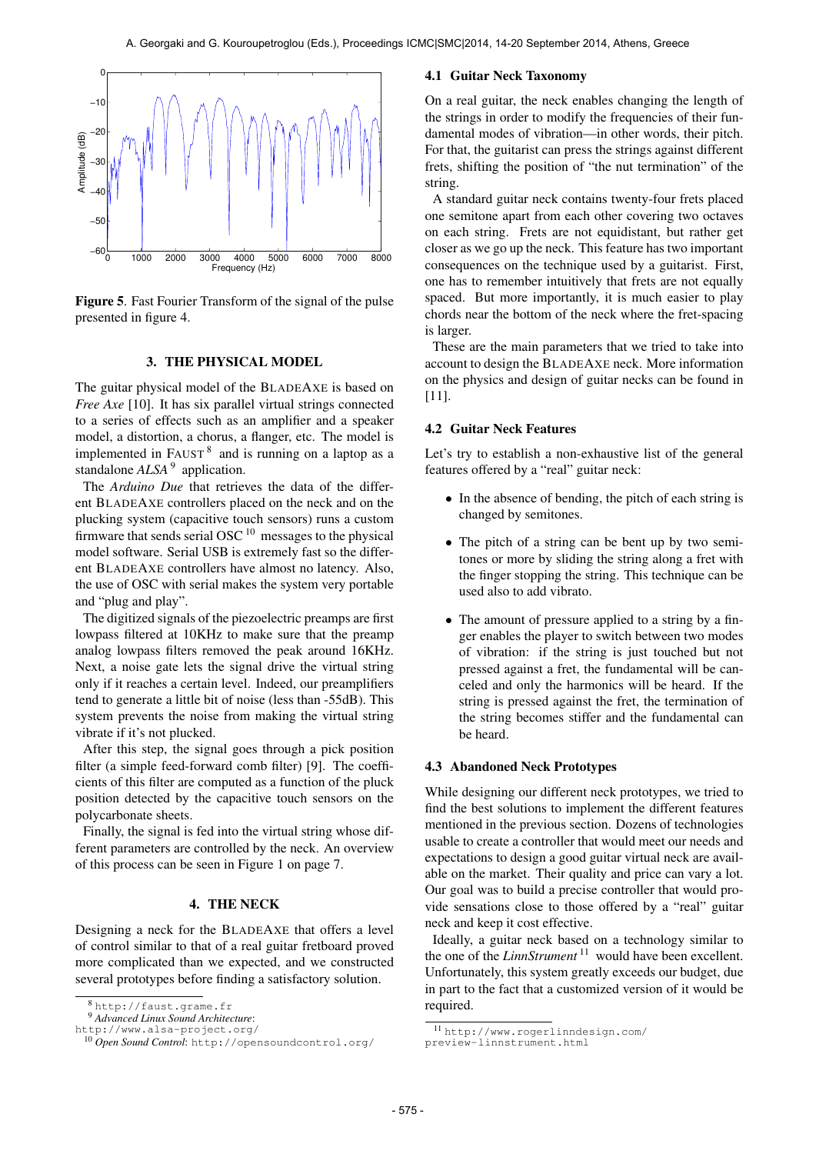

Figure 5. Fast Fourier Transform of the signal of the pulse presented in figure 4.

#### 3. THE PHYSICAL MODEL

The guitar physical model of the BLADEAXE is based on *Free Axe* [10]. It has six parallel virtual strings connected to a series of effects such as an amplifier and a speaker model, a distortion, a chorus, a flanger, etc. The model is implemented in  $FAUST^8$  and is running on a laptop as a standalone *ALSA*<sup>9</sup> application.

The *Arduino Due* that retrieves the data of the different BLADEAXE controllers placed on the neck and on the plucking system (capacitive touch sensors) runs a custom firmware that sends serial OSC  $10$  messages to the physical model software. Serial USB is extremely fast so the different BLADEAXE controllers have almost no latency. Also, the use of OSC with serial makes the system very portable and "plug and play".

The digitized signals of the piezoelectric preamps are first lowpass filtered at 10KHz to make sure that the preamp analog lowpass filters removed the peak around 16KHz. Next, a noise gate lets the signal drive the virtual string only if it reaches a certain level. Indeed, our preamplifiers tend to generate a little bit of noise (less than -55dB). This system prevents the noise from making the virtual string vibrate if it's not plucked.

After this step, the signal goes through a pick position filter (a simple feed-forward comb filter) [9]. The coefficients of this filter are computed as a function of the pluck position detected by the capacitive touch sensors on the polycarbonate sheets.

Finally, the signal is fed into the virtual string whose different parameters are controlled by the neck. An overview of this process can be seen in Figure 1 on page 7.

#### 4. THE NECK

Designing a neck for the BLADEAXE that offers a level of control similar to that of a real guitar fretboard proved more complicated than we expected, and we constructed several prototypes before finding a satisfactory solution.

#### 4.1 Guitar Neck Taxonomy

On a real guitar, the neck enables changing the length of the strings in order to modify the frequencies of their fundamental modes of vibration—in other words, their pitch. For that, the guitarist can press the strings against different frets, shifting the position of "the nut termination" of the string.

A standard guitar neck contains twenty-four frets placed one semitone apart from each other covering two octaves on each string. Frets are not equidistant, but rather get closer as we go up the neck. This feature has two important consequences on the technique used by a guitarist. First, one has to remember intuitively that frets are not equally spaced. But more importantly, it is much easier to play chords near the bottom of the neck where the fret-spacing is larger.

These are the main parameters that we tried to take into account to design the BLADEAXE neck. More information on the physics and design of guitar necks can be found in [11].

#### 4.2 Guitar Neck Features

Let's try to establish a non-exhaustive list of the general features offered by a "real" guitar neck:

- In the absence of bending, the pitch of each string is changed by semitones.
- The pitch of a string can be bent up by two semitones or more by sliding the string along a fret with the finger stopping the string. This technique can be used also to add vibrato.
- The amount of pressure applied to a string by a finger enables the player to switch between two modes of vibration: if the string is just touched but not pressed against a fret, the fundamental will be canceled and only the harmonics will be heard. If the string is pressed against the fret, the termination of the string becomes stiffer and the fundamental can be heard.

#### 4.3 Abandoned Neck Prototypes

While designing our different neck prototypes, we tried to find the best solutions to implement the different features mentioned in the previous section. Dozens of technologies usable to create a controller that would meet our needs and expectations to design a good guitar virtual neck are available on the market. Their quality and price can vary a lot. Our goal was to build a precise controller that would provide sensations close to those offered by a "real" guitar neck and keep it cost effective.

Ideally, a guitar neck based on a technology similar to the one of the *LinnStrument*<sup>11</sup> would have been excellent. Unfortunately, this system greatly exceeds our budget, due in part to the fact that a customized version of it would be required.

<sup>8</sup> <http://faust.grame.fr>

<sup>9</sup> *Advanced Linux Sound Architecture*:

<http://www.alsa-project.org/>

<sup>10</sup> *Open Sound Control*: [http://opensoundcontrol.org/](http://opensoundcontrol.org/‎)

<sup>11</sup> [http://www.rogerlinndesign.com/](http://www.rogerlinndesign.com/preview-linnstrument.html)

[preview-linnstrument.html](http://www.rogerlinndesign.com/preview-linnstrument.html)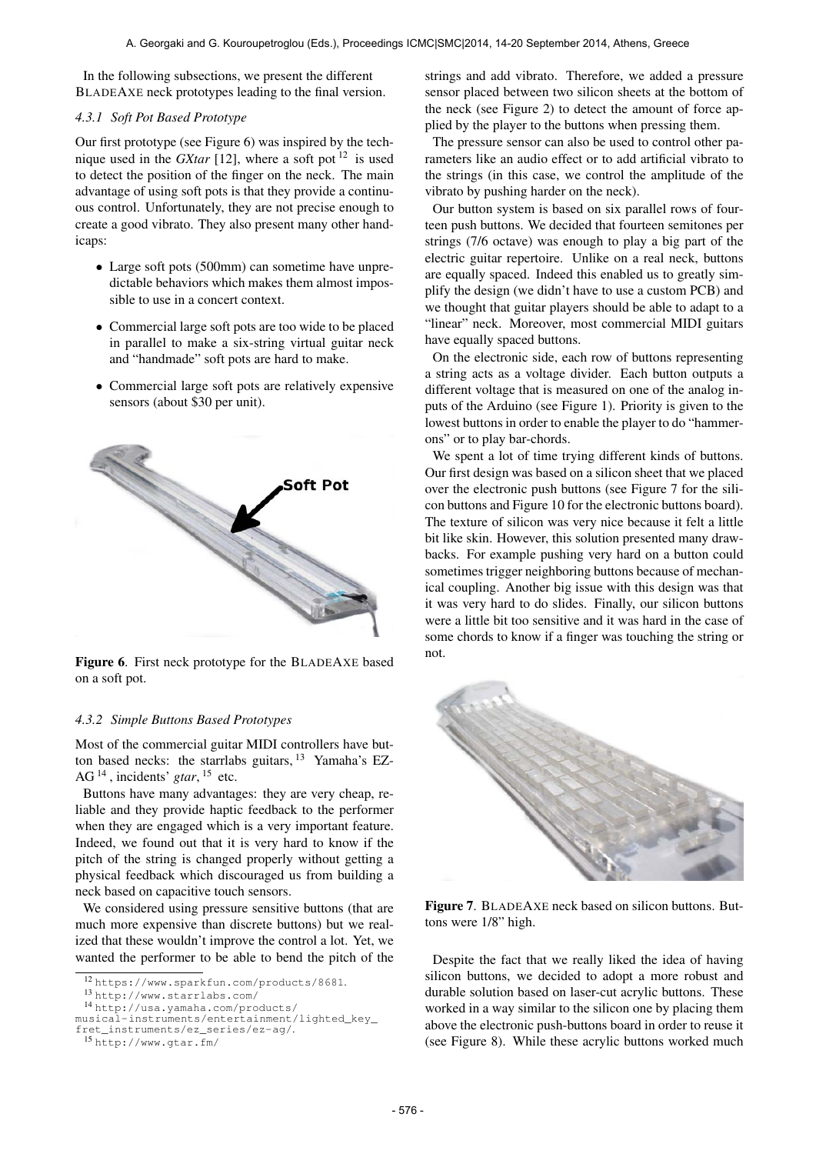In the following subsections, we present the different BLADEAXE neck prototypes leading to the final version.

#### *4.3.1 Soft Pot Based Prototype*

Our first prototype (see Figure 6) was inspired by the technique used in the *GXtar* [12], where a soft pot<sup>12</sup> is used to detect the position of the finger on the neck. The main advantage of using soft pots is that they provide a continuous control. Unfortunately, they are not precise enough to create a good vibrato. They also present many other handicaps:

- Large soft pots (500mm) can sometime have unpredictable behaviors which makes them almost impossible to use in a concert context.
- Commercial large soft pots are too wide to be placed in parallel to make a six-string virtual guitar neck and "handmade" soft pots are hard to make.
- Commercial large soft pots are relatively expensive sensors (about \$30 per unit).



Figure 6. First neck prototype for the BLADEAXE based on a soft pot.

## *4.3.2 Simple Buttons Based Prototypes*

Most of the commercial guitar MIDI controllers have button based necks: the starrlabs guitars,  $^{13}$  Yamaha's EZ-AG 14 , incidents' *gtar*, 15 etc.

Buttons have many advantages: they are very cheap, reliable and they provide haptic feedback to the performer when they are engaged which is a very important feature. Indeed, we found out that it is very hard to know if the pitch of the string is changed properly without getting a physical feedback which discouraged us from building a neck based on capacitive touch sensors.

We considered using pressure sensitive buttons (that are much more expensive than discrete buttons) but we realized that these wouldn't improve the control a lot. Yet, we wanted the performer to be able to bend the pitch of the strings and add vibrato. Therefore, we added a pressure sensor placed between two silicon sheets at the bottom of the neck (see Figure 2) to detect the amount of force applied by the player to the buttons when pressing them.

The pressure sensor can also be used to control other parameters like an audio effect or to add artificial vibrato to the strings (in this case, we control the amplitude of the vibrato by pushing harder on the neck).

Our button system is based on six parallel rows of fourteen push buttons. We decided that fourteen semitones per strings (7/6 octave) was enough to play a big part of the electric guitar repertoire. Unlike on a real neck, buttons are equally spaced. Indeed this enabled us to greatly simplify the design (we didn't have to use a custom PCB) and we thought that guitar players should be able to adapt to a "linear" neck. Moreover, most commercial MIDI guitars have equally spaced buttons.

On the electronic side, each row of buttons representing a string acts as a voltage divider. Each button outputs a different voltage that is measured on one of the analog inputs of the Arduino (see Figure 1). Priority is given to the lowest buttons in order to enable the player to do "hammerons" or to play bar-chords.

We spent a lot of time trying different kinds of buttons. Our first design was based on a silicon sheet that we placed over the electronic push buttons (see Figure 7 for the silicon buttons and Figure 10 for the electronic buttons board). The texture of silicon was very nice because it felt a little bit like skin. However, this solution presented many drawbacks. For example pushing very hard on a button could sometimes trigger neighboring buttons because of mechanical coupling. Another big issue with this design was that it was very hard to do slides. Finally, our silicon buttons were a little bit too sensitive and it was hard in the case of some chords to know if a finger was touching the string or not.



Figure 7. BLADEAXE neck based on silicon buttons. Buttons were 1/8" high.

Despite the fact that we really liked the idea of having silicon buttons, we decided to adopt a more robust and durable solution based on laser-cut acrylic buttons. These worked in a way similar to the silicon one by placing them above the electronic push-buttons board in order to reuse it (see Figure 8). While these acrylic buttons worked much

<sup>12</sup> <https://www.sparkfun.com/products/8681>.

<sup>13</sup> <http://www.starrlabs.com/>

<sup>14</sup> [http://usa.yamaha.com/products/](http://usa.yamaha.com/products/musical-instruments/entertainment/lighted_key_fret_instruments/ez_series/ez-ag/)

[musical-instruments/entertainment/lighted\\_key\\_](http://usa.yamaha.com/products/musical-instruments/entertainment/lighted_key_fret_instruments/ez_series/ez-ag/)

[fret\\_instruments/ez\\_series/ez-ag/](http://usa.yamaha.com/products/musical-instruments/entertainment/lighted_key_fret_instruments/ez_series/ez-ag/).

<sup>15</sup> <http://www.gtar.fm/>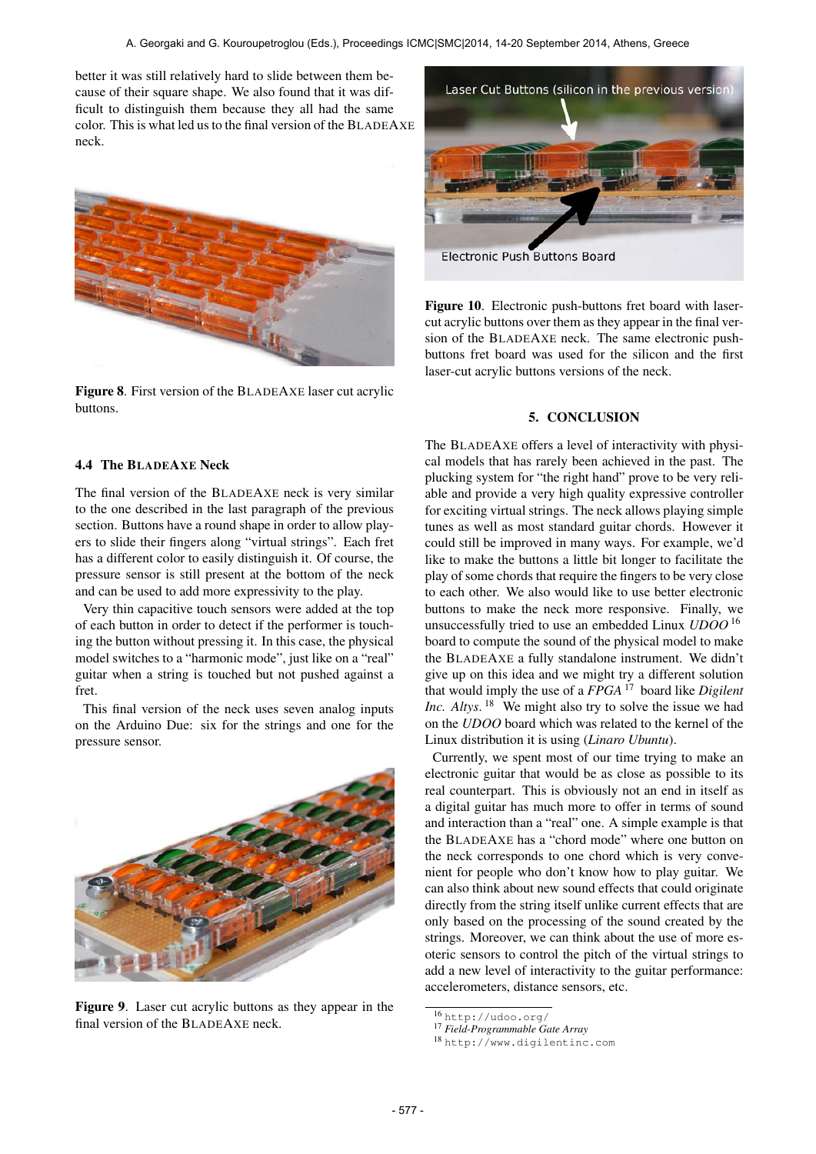better it was still relatively hard to slide between them because of their square shape. We also found that it was difficult to distinguish them because they all had the same color. This is what led us to the final version of the BLADEAXE neck.



Figure 8. First version of the BLADEAXE laser cut acrylic buttons.



**Electronic Push Buttons Board** 

Figure 10. Electronic push-buttons fret board with lasercut acrylic buttons over them as they appear in the final version of the BLADEAXE neck. The same electronic pushbuttons fret board was used for the silicon and the first laser-cut acrylic buttons versions of the neck.

#### 5. CONCLUSION

#### 4.4 The BLADEAXE Neck

The final version of the BLADEAXE neck is very similar to the one described in the last paragraph of the previous section. Buttons have a round shape in order to allow players to slide their fingers along "virtual strings". Each fret has a different color to easily distinguish it. Of course, the pressure sensor is still present at the bottom of the neck and can be used to add more expressivity to the play.

Very thin capacitive touch sensors were added at the top of each button in order to detect if the performer is touching the button without pressing it. In this case, the physical model switches to a "harmonic mode", just like on a "real" guitar when a string is touched but not pushed against a fret.

This final version of the neck uses seven analog inputs on the Arduino Due: six for the strings and one for the pressure sensor.



Figure 9. Laser cut acrylic buttons as they appear in the final version of the BLADEAXE neck.

The BLADEAXE offers a level of interactivity with physical models that has rarely been achieved in the past. The plucking system for "the right hand" prove to be very reliable and provide a very high quality expressive controller for exciting virtual strings. The neck allows playing simple tunes as well as most standard guitar chords. However it could still be improved in many ways. For example, we'd like to make the buttons a little bit longer to facilitate the play of some chords that require the fingers to be very close to each other. We also would like to use better electronic buttons to make the neck more responsive. Finally, we unsuccessfully tried to use an embedded Linux *UDOO* 16 board to compute the sound of the physical model to make the BLADEAXE a fully standalone instrument. We didn't give up on this idea and we might try a different solution that would imply the use of a *FPGA* 17 board like *Digilent Inc. Altys*. 18 We might also try to solve the issue we had on the *UDOO* board which was related to the kernel of the Linux distribution it is using (*Linaro Ubuntu*).

Currently, we spent most of our time trying to make an electronic guitar that would be as close as possible to its real counterpart. This is obviously not an end in itself as a digital guitar has much more to offer in terms of sound and interaction than a "real" one. A simple example is that the BLADEAXE has a "chord mode" where one button on the neck corresponds to one chord which is very convenient for people who don't know how to play guitar. We can also think about new sound effects that could originate directly from the string itself unlike current effects that are only based on the processing of the sound created by the strings. Moreover, we can think about the use of more esoteric sensors to control the pitch of the virtual strings to add a new level of interactivity to the guitar performance: accelerometers, distance sensors, etc.

<sup>16</sup> [http://udoo.org/](http://udoo.org/‎)

<sup>17</sup> *Field-Programmable Gate Array*

<sup>18</sup> <http://www.digilentinc.com>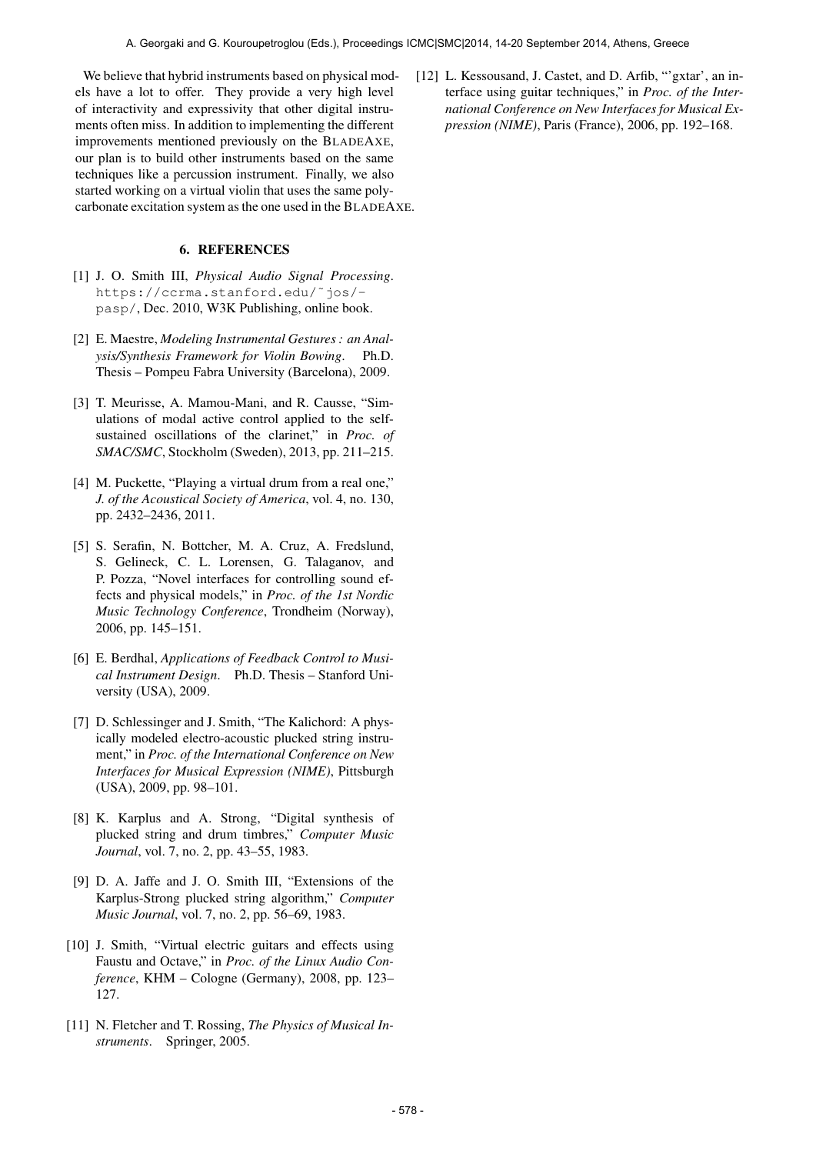We believe that hybrid instruments based on physical models have a lot to offer. They provide a very high level of interactivity and expressivity that other digital instruments often miss. In addition to implementing the different improvements mentioned previously on the BLADEAXE, our plan is to build other instruments based on the same techniques like a percussion instrument. Finally, we also started working on a virtual violin that uses the same polycarbonate excitation system as the one used in the BLADEAXE.

## 6. REFERENCES

- [1] J. O. Smith III, *Physical Audio Signal Processing*. [https:/](https://ccrma.stanford.edu/~jos/pasp/)/ccrma.stanford.edu/˜jos/ pasp/, Dec. 2010, W3K Publishing, online book.
- [2] E. Maestre, *Modeling Instrumental Gestures : an Analysis/Synthesis Framework for Violin Bowing*. Ph.D. Thesis – Pompeu Fabra University (Barcelona), 2009.
- [3] T. Meurisse, A. Mamou-Mani, and R. Causse, "Simulations of modal active control applied to the selfsustained oscillations of the clarinet," in *Proc. of SMAC/SMC*, Stockholm (Sweden), 2013, pp. 211–215.
- [4] M. Puckette, "Playing a virtual drum from a real one," *J. of the Acoustical Society of America*, vol. 4, no. 130, pp. 2432–2436, 2011.
- [5] S. Serafin, N. Bottcher, M. A. Cruz, A. Fredslund, S. Gelineck, C. L. Lorensen, G. Talaganov, and P. Pozza, "Novel interfaces for controlling sound effects and physical models," in *Proc. of the 1st Nordic Music Technology Conference*, Trondheim (Norway), 2006, pp. 145–151.
- [6] E. Berdhal, *Applications of Feedback Control to Musical Instrument Design*. Ph.D. Thesis – Stanford University (USA), 2009.
- [7] D. Schlessinger and J. Smith, "The Kalichord: A physically modeled electro-acoustic plucked string instrument," in *Proc. of the International Conference on New Interfaces for Musical Expression (NIME)*, Pittsburgh (USA), 2009, pp. 98–101.
- [8] K. Karplus and A. Strong, "Digital synthesis of plucked string and drum timbres," *Computer Music Journal*, vol. 7, no. 2, pp. 43–55, 1983.
- [9] D. A. Jaffe and J. O. Smith III, "Extensions of the Karplus-Strong plucked string algorithm," *Computer Music Journal*, vol. 7, no. 2, pp. 56–69, 1983.
- [10] J. Smith, "Virtual electric guitars and effects using Faustu and Octave," in *Proc. of the Linux Audio Conference*, KHM – Cologne (Germany), 2008, pp. 123– 127.
- [11] N. Fletcher and T. Rossing, *The Physics of Musical Instruments*. Springer, 2005.

[12] L. Kessousand, J. Castet, and D. Arfib, "'gxtar', an interface using guitar techniques," in *Proc. of the International Conference on New Interfaces for Musical Expression (NIME)*, Paris (France), 2006, pp. 192–168.